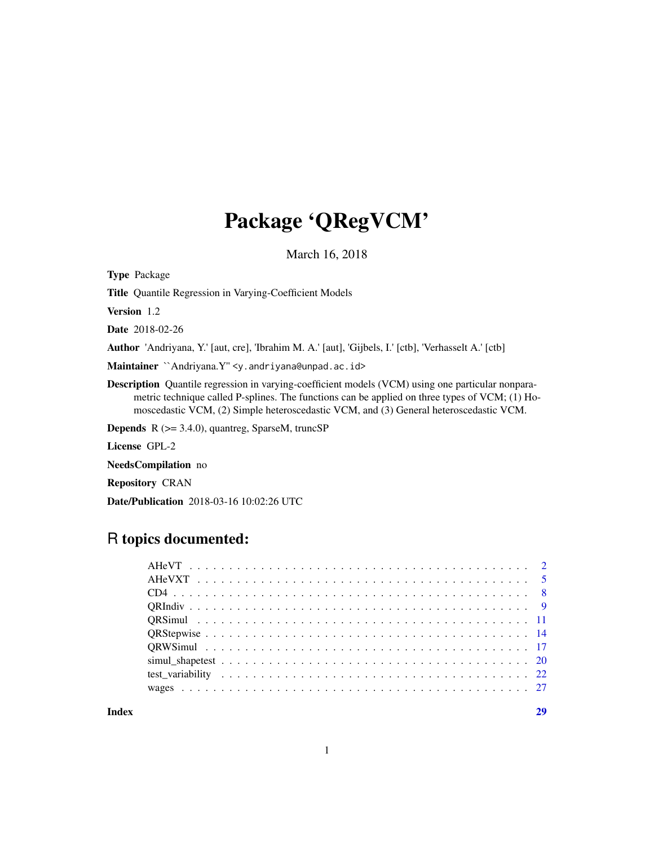## Package 'QRegVCM'

March 16, 2018

<span id="page-0-0"></span>Type Package

Title Quantile Regression in Varying-Coefficient Models

Version 1.2

Date 2018-02-26

Author 'Andriyana, Y.' [aut, cre], 'Ibrahim M. A.' [aut], 'Gijbels, I.' [ctb], 'Verhasselt A.' [ctb]

Maintainer `Andriyana.Y" <y.andriyana@unpad.ac.id>

Description Quantile regression in varying-coefficient models (VCM) using one particular nonparametric technique called P-splines. The functions can be applied on three types of VCM; (1) Homoscedastic VCM, (2) Simple heteroscedastic VCM, and (3) General heteroscedastic VCM.

Depends R (>= 3.4.0), quantreg, SparseM, truncSP

License GPL-2

NeedsCompilation no

Repository CRAN

Date/Publication 2018-03-16 10:02:26 UTC

## R topics documented:

**Index** [29](#page-28-0)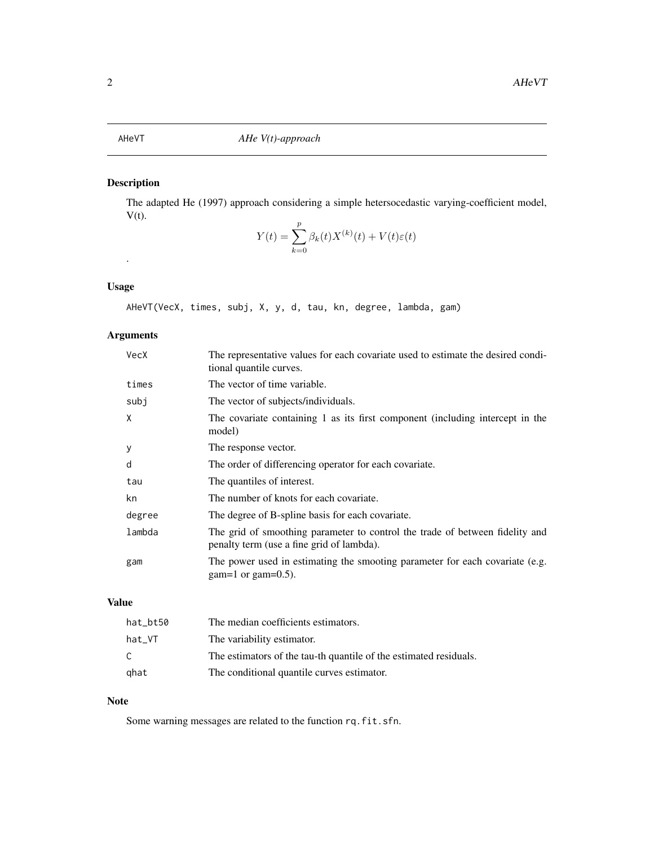## <span id="page-1-0"></span>Description

The adapted He (1997) approach considering a simple hetersocedastic varying-coefficient model,  $V(t)$ .

$$
Y(t) = \sum_{k=0}^{p} \beta_k(t) X^{(k)}(t) + V(t)\varepsilon(t)
$$

## Usage

.

AHeVT(VecX, times, subj, X, y, d, tau, kn, degree, lambda, gam)

## Arguments

| VecX   | The representative values for each covariate used to estimate the desired condi-<br>tional quantile curves.               |
|--------|---------------------------------------------------------------------------------------------------------------------------|
| times  | The vector of time variable.                                                                                              |
| subj   | The vector of subjects/individuals.                                                                                       |
| X      | The covariate containing 1 as its first component (including intercept in the<br>model)                                   |
| У      | The response vector.                                                                                                      |
| d      | The order of differencing operator for each covariate.                                                                    |
| tau    | The quantiles of interest.                                                                                                |
| kn     | The number of knots for each covariate.                                                                                   |
| degree | The degree of B-spline basis for each covariate.                                                                          |
| lambda | The grid of smoothing parameter to control the trade of between fidelity and<br>penalty term (use a fine grid of lambda). |
| gam    | The power used in estimating the smooting parameter for each covariate (e.g.<br>gam=1 or gam= $0.5$ ).                    |

## Value

| hat_bt50 | The median coefficients estimators.                               |
|----------|-------------------------------------------------------------------|
| hat_VT   | The variability estimator.                                        |
| C        | The estimators of the tau-th quantile of the estimated residuals. |
| ghat     | The conditional quantile curves estimator.                        |

## Note

Some warning messages are related to the function rq.fit.sfn.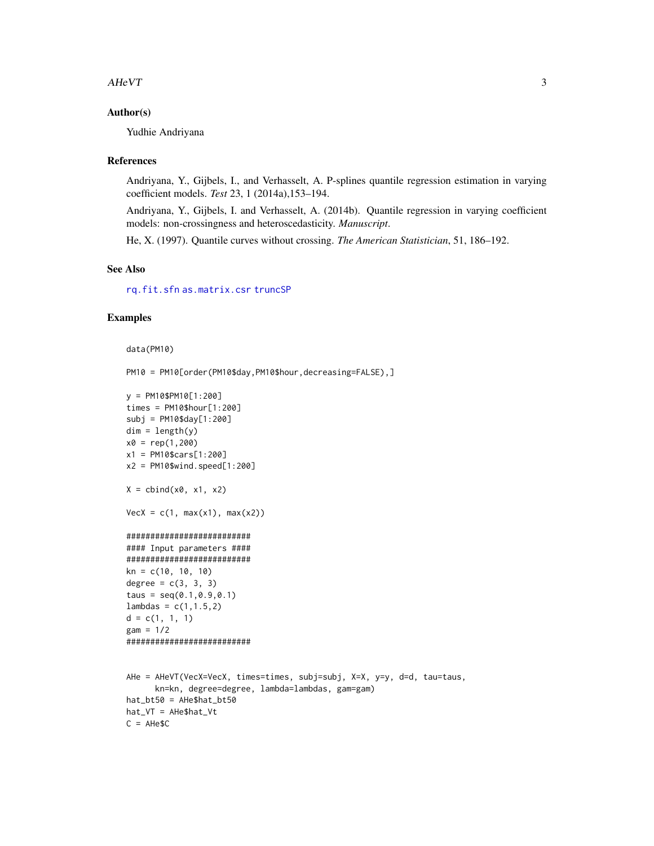#### <span id="page-2-0"></span> $AHeVT$  3

### Author(s)

Yudhie Andriyana

#### References

Andriyana, Y., Gijbels, I., and Verhasselt, A. P-splines quantile regression estimation in varying coefficient models. *Test* 23, 1 (2014a),153–194.

Andriyana, Y., Gijbels, I. and Verhasselt, A. (2014b). Quantile regression in varying coefficient models: non-crossingness and heteroscedasticity. *Manuscript*.

He, X. (1997). Quantile curves without crossing. *The American Statistician*, 51, 186–192.

#### See Also

[rq.fit.sfn](#page-0-0) [as.matrix.csr](#page-0-0) [truncSP](#page-0-0)

#### Examples

```
data(PM10)
```
PM10 = PM10[order(PM10\$day, PM10\$hour, decreasing=FALSE), ]

```
y = PM10$PM10[1:200]
times = PM10$hour[1:200]
subj = PM10$day[1:200]
dim = length(y)x0 = rep(1,200)x1 = PM10$cars[1:200]
x2 = PM10$wind.speed[1:200]
X = \text{cbind}(x\emptyset, x1, x2)VecX = c(1, max(x1), max(x2))##########################
#### Input parameters ####
##########################
kn = c(10, 10, 10)degree = c(3, 3, 3)taus = seq(0.1, 0.9, 0.1)lambda = c(1, 1.5, 2)d = c(1, 1, 1)gam = 1/2
##########################
AHe = AHeVT(VecX=VecX, times=times, subj=subj, X=X, y=y, d=d, tau=taus,
      kn=kn, degree=degree, lambda=lambdas, gam=gam)
hat_bt50 = AHe$hat_bt50
hat_VT = AHe$hat_Vt
C = AHe$C
```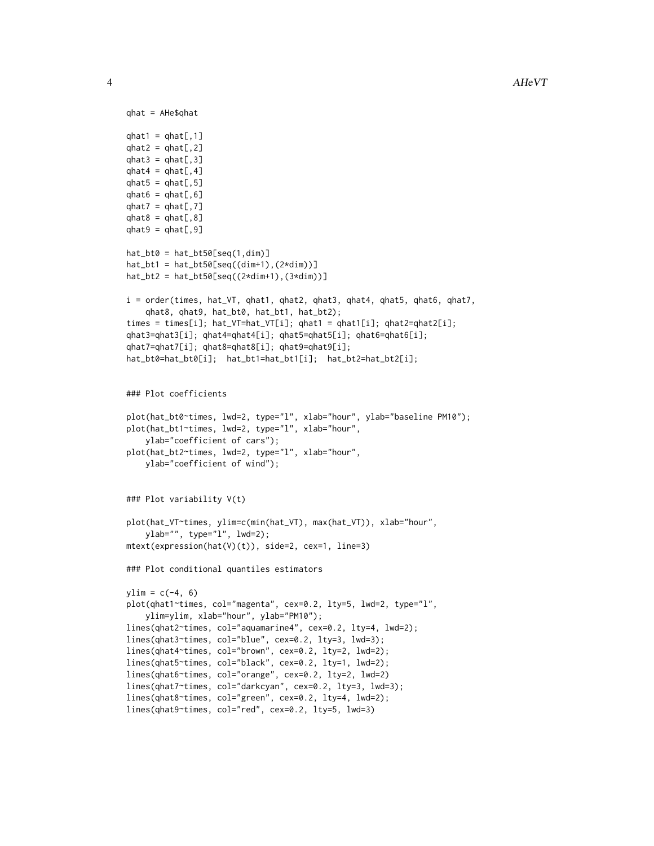```
qhat = AHe$qhat
qhat1 = qhat[,1]qhat2 = qhat[, 2]qhat3 = qhat[, 3]qhat4 = qhat[, 4]qhat5 = qhat[, 5]qhat6 = qhat[, 6]qhat7 = qhat[, 7]qhat8 = qhat[, 8]qhat9 = qhat[, 9]hat_bto0 = hat_btt50[seq(1,dim)]hat_bt1 = hat_bt50[seq((dim+1),(2*dim))]
hat_bt2 = hat_btt50[seq((2*dim+1), (3*dim))]i = order(times, hat_VT, qhat1, qhat2, qhat3, qhat4, qhat5, qhat6, qhat7,
    qhat8, qhat9, hat_bt0, hat_bt1, hat_bt2);
times = times[i]; hat_VT=hat_VT[i]; qhat1 = qhat1[i]; qhat2=qhat2[i];
qhat3=qhat3[i]; qhat4=qhat4[i]; qhat5=qhat5[i]; qhat6=qhat6[i];
qhat7=qhat7[i]; qhat8=qhat8[i]; qhat9=qhat9[i];
hat_bt0=hat_bt0[i]; hat_bt1=hat_bt1[i]; hat_bt2=hat_bt2[i];
### Plot coefficients
plot(hat_bt0~times, lwd=2, type="l", xlab="hour", ylab="baseline PM10");
plot(hat_bt1~times, lwd=2, type="l", xlab="hour",
    ylab="coefficient of cars");
plot(hat_bt2~times, lwd=2, type="l", xlab="hour",
   ylab="coefficient of wind");
### Plot variability V(t)
plot(hat_VT~times, ylim=c(min(hat_VT), max(hat_VT)), xlab="hour",
    ylab="", type="l", lwd=2);
mtext(expression(hat(V)(t)), side=2, cex=1, line=3)
### Plot conditional quantiles estimators
ylim = c(-4, 6)plot(qhat1~times, col="magenta", cex=0.2, lty=5, lwd=2, type="l",
    ylim=ylim, xlab="hour", ylab="PM10");
lines(qhat2~times, col="aquamarine4", cex=0.2, lty=4, lwd=2);
lines(qhat3~times, col="blue", cex=0.2, lty=3, lwd=3);
lines(qhat4~times, col="brown", cex=0.2, lty=2, lwd=2);
lines(qhat5~times, col="black", cex=0.2, lty=1, lwd=2);
lines(qhat6~times, col="orange", cex=0.2, lty=2, lwd=2)
lines(qhat7~times, col="darkcyan", cex=0.2, lty=3, lwd=3);
lines(qhat8~times, col="green", cex=0.2, lty=4, lwd=2);
lines(qhat9~times, col="red", cex=0.2, lty=5, lwd=3)
```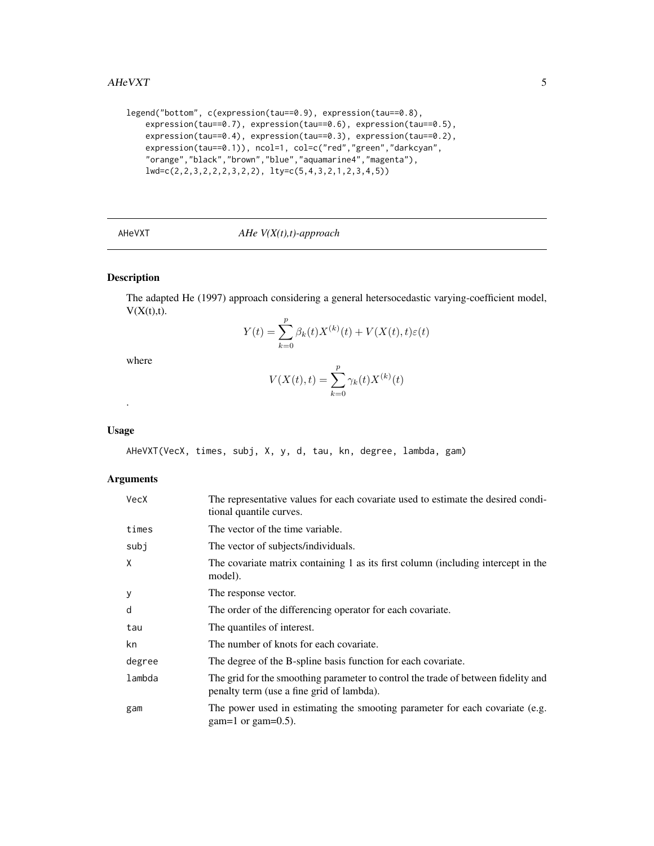#### <span id="page-4-0"></span> $AHeVXT$  5

```
legend("bottom", c(expression(tau==0.9), expression(tau==0.8),
   expression(tau==0.7), expression(tau==0.6), expression(tau==0.5),
   expression(tau==0.4), expression(tau==0.3), expression(tau==0.2),
   expression(tau==0.1)), ncol=1, col=c("red","green","darkcyan",
    "orange","black","brown","blue","aquamarine4","magenta"),
   lwd=c(2,2,3,2,2,2,3,2,2), lty=c(5,4,3,2,1,2,3,4,5))
```
## AHeVXT *AHe V(X(t),t)-approach*

## Description

The adapted He (1997) approach considering a general hetersocedastic varying-coefficient model,  $V(X(t),t)$ .

$$
Y(t) = \sum_{k=0}^{p} \beta_k(t) X^{(k)}(t) + V(X(t), t)\varepsilon(t)
$$

where

$$
V(X(t),t) = \sum_{k=0}^{p} \gamma_k(t) X^{(k)}(t)
$$

#### Usage

.

AHeVXT(VecX, times, subj, X, y, d, tau, kn, degree, lambda, gam)

#### Arguments

| VecX   | The representative values for each covariate used to estimate the desired condi-<br>tional quantile curves.                    |
|--------|--------------------------------------------------------------------------------------------------------------------------------|
| times  | The vector of the time variable.                                                                                               |
| subj   | The vector of subjects/individuals.                                                                                            |
| X      | The covariate matrix containing 1 as its first column (including intercept in the<br>model).                                   |
| У      | The response vector.                                                                                                           |
| d      | The order of the differencing operator for each covariate.                                                                     |
| tau    | The quantiles of interest.                                                                                                     |
| kn     | The number of knots for each covariate.                                                                                        |
| degree | The degree of the B-spline basis function for each covariate.                                                                  |
| lambda | The grid for the smoothing parameter to control the trade of between fidelity and<br>penalty term (use a fine grid of lambda). |
| gam    | The power used in estimating the smooting parameter for each covariate (e.g.<br>$gam=1$ or gam=0.5).                           |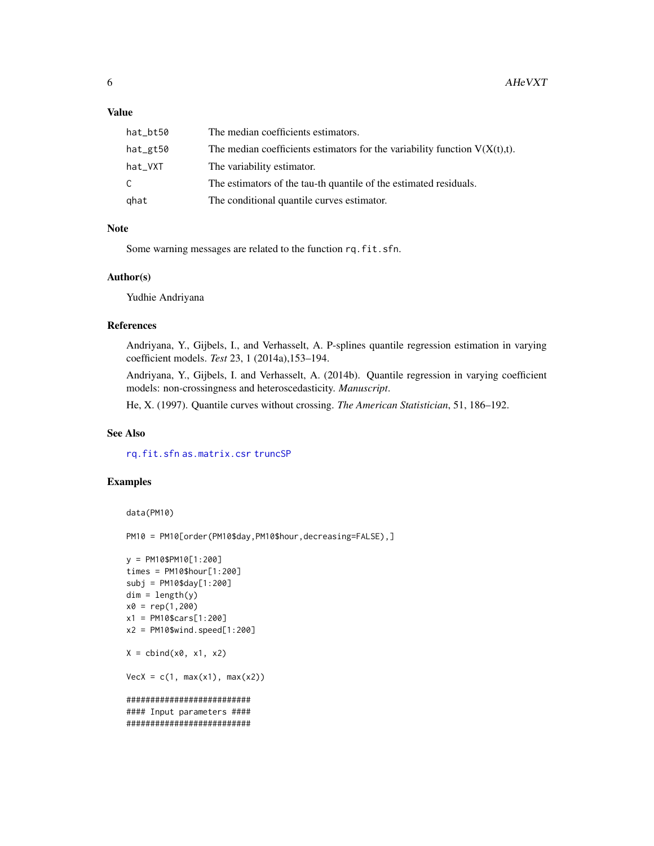#### <span id="page-5-0"></span>Value

| hat_bt50 | The median coefficients estimators.                                           |
|----------|-------------------------------------------------------------------------------|
| hat_gt50 | The median coefficients estimators for the variability function $V(X(t),t)$ . |
| hat_VXT  | The variability estimator.                                                    |
| C        | The estimators of the tau-th quantile of the estimated residuals.             |
| ghat     | The conditional quantile curves estimator.                                    |

## Note

Some warning messages are related to the function rq.fit.sfn.

## Author(s)

Yudhie Andriyana

## References

Andriyana, Y., Gijbels, I., and Verhasselt, A. P-splines quantile regression estimation in varying coefficient models. *Test* 23, 1 (2014a),153–194.

Andriyana, Y., Gijbels, I. and Verhasselt, A. (2014b). Quantile regression in varying coefficient models: non-crossingness and heteroscedasticity. *Manuscript*.

He, X. (1997). Quantile curves without crossing. *The American Statistician*, 51, 186–192.

## See Also

[rq.fit.sfn](#page-0-0) [as.matrix.csr](#page-0-0) [truncSP](#page-0-0)

## Examples

```
data(PM10)
```
PM10 = PM10[order(PM10\$day,PM10\$hour,decreasing=FALSE),]

```
y = PM10$PM10[1:200]
times = PM10$hour[1:200]
subj = PM10$day[1:200]
dim = length(y)x0 = rep(1,200)x1 = PM10$cars[1:200]
x2 = PM10$wind.speed[1:200]
X = \text{cbind}(x0, x1, x2)VecX = c(1, max(x1), max(x2))##########################
#### Input parameters ####
##########################
```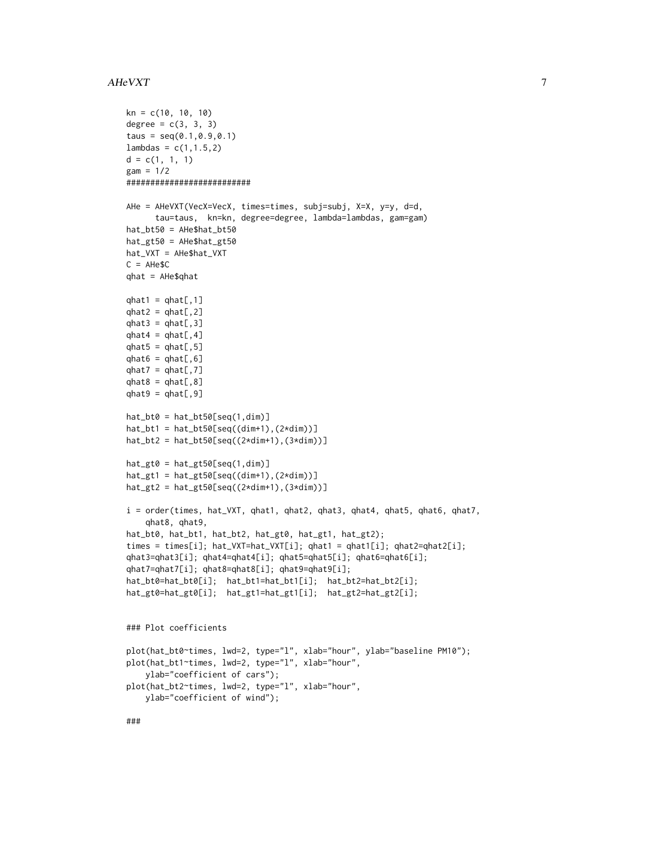#### $A$ HeVXT  $\overline{7}$

```
kn = c(10, 10, 10)degree = c(3, 3, 3)taus = seq(0.1, 0.9, 0.1)lambdas = c(1, 1.5, 2)d = c(1, 1, 1)gam = 1/2##########################
AHe = AHeVXT(VecX=VecX, times=times, subj=subj, X=X, y=y, d=d,
      tau=taus, kn=kn, degree=degree, lambda=lambdas, gam=gam)
hat_bt50 = AHe$hat_bt50
hat_gt50 = AHe$hat_gt50
hat_VXT = AHe$hat_VXT
C = AHe$Cqhat = AHe$qhat
qhat1 = qhat[,1]qhat2 = qhat[, 2]qhat3 = qhat[, 3]qhat4 = qhat[, 4]qhat5 = qhat[, 5]qhat6 = qhat[, 6]qhat7 = qhat[, 7]qhat8 = qhat[, 8]qhat9 = qhat[, 9]hat_bto0 = hat_btt50[seq(1,dim)]hat_bt1 = hat_bt50[seq((dim+1), (2*dim))]hat_bt2 = hat_bt50[seq((2*dim+1),(3*dim))]
hat_gt0 = hat_gt50[seq(1,dim)]hat_gt1 = hat_gt50[seq((dim+1), (2*dim))]hat_gt2 = hat_gt50[seq((2*dim+1), (3*dim))]i = order(times, hat_VXT, qhat1, qhat2, qhat3, qhat4, qhat5, qhat6, qhat7,
    qhat8, qhat9,
hat_bt0, hat_bt1, hat_bt2, hat_gt0, hat_gt1, hat_gt2);
times = times[i]; hat_VXT=hat_VXT[i]; qhat1 = qhat1[i]; qhat2=qhat2[i];
qhat3=qhat3[i]; qhat4=qhat4[i]; qhat5=qhat5[i]; qhat6=qhat6[i];
qhat7=qhat7[i]; qhat8=qhat8[i]; qhat9=qhat9[i];
hat_bt0=hat_bt0[i]; hat_bt1=hat_bt1[i]; hat_bt2=hat_bt2[i];
hat_gt0=hat_gt0[i]; hat_gt1=hat_gt1[i]; hat_gt2=hat_gt2[i];
### Plot coefficients
plot(hat_bt0~times, lwd=2, type="l", xlab="hour", ylab="baseline PM10");
plot(hat_bt1~times, lwd=2, type="l", xlab="hour",
    ylab="coefficient of cars");
plot(hat_bt2~times, lwd=2, type="l", xlab="hour",
   ylab="coefficient of wind");
###
```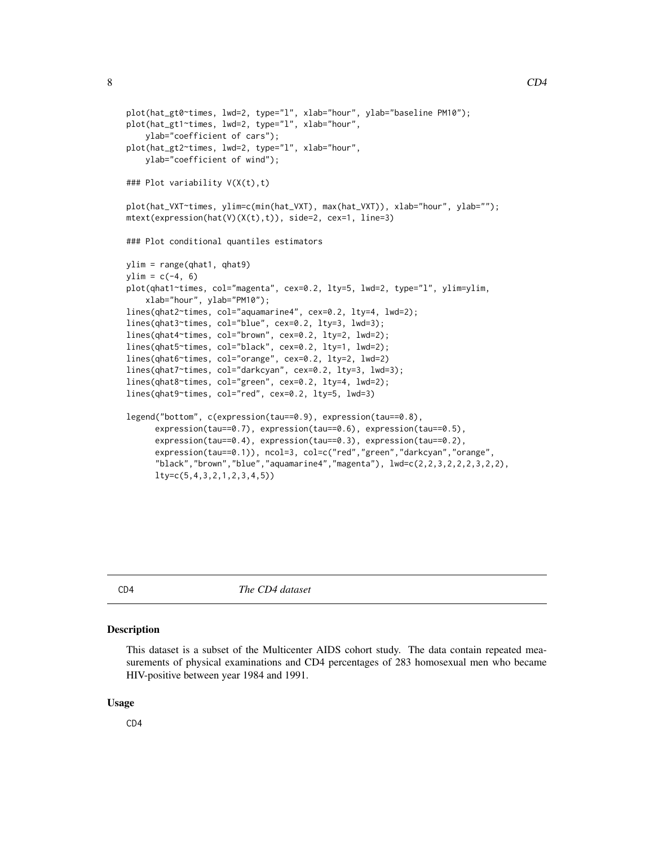```
plot(hat_gt0~times, lwd=2, type="l", xlab="hour", ylab="baseline PM10");
plot(hat_gt1~times, lwd=2, type="l", xlab="hour",
    ylab="coefficient of cars");
plot(hat_gt2~times, lwd=2, type="l", xlab="hour",
   ylab="coefficient of wind");
### Plot variability V(X(t),t)
plot(hat_VXT~times, ylim=c(min(hat_VXT), max(hat_VXT)), xlab="hour", ylab="");
mtext(expression(hat(V)(X(t),t)), side=2, cex=1, line=3)
### Plot conditional quantiles estimators
ylim = range(qhat1, qhat9)
ylim = c(-4, 6)plot(qhat1~times, col="magenta", cex=0.2, lty=5, lwd=2, type="l", ylim=ylim,
    xlab="hour", ylab="PM10");
lines(qhat2~times, col="aquamarine4", cex=0.2, lty=4, lwd=2);
lines(qhat3~times, col="blue", cex=0.2, lty=3, lwd=3);
lines(qhat4~times, col="brown", cex=0.2, lty=2, lwd=2);
lines(qhat5~times, col="black", cex=0.2, lty=1, lwd=2);
lines(qhat6~times, col="orange", cex=0.2, lty=2, lwd=2)
lines(qhat7~times, col="darkcyan", cex=0.2, lty=3, lwd=3);
lines(qhat8~times, col="green", cex=0.2, lty=4, lwd=2);
lines(qhat9~times, col="red", cex=0.2, lty=5, lwd=3)
legend("bottom", c(expression(tau==0.9), expression(tau==0.8),
      expression(tau==0.7), expression(tau==0.6), expression(tau==0.5),
      expression(tau==0.4), expression(tau==0.3), expression(tau==0.2),
      expression(tau==0.1)), ncol=3, col=c("red","green","darkcyan","orange",
      "black","brown","blue","aquamarine4","magenta"), lwd=c(2, 2, 3, 2, 2, 2, 3, 2, 2),
      lty=c(5,4,3,2,1,2,3,4,5))
```
CD4 *The CD4 dataset*

#### Description

This dataset is a subset of the Multicenter AIDS cohort study. The data contain repeated measurements of physical examinations and CD4 percentages of 283 homosexual men who became HIV-positive between year 1984 and 1991.

#### Usage

CD4

<span id="page-7-0"></span>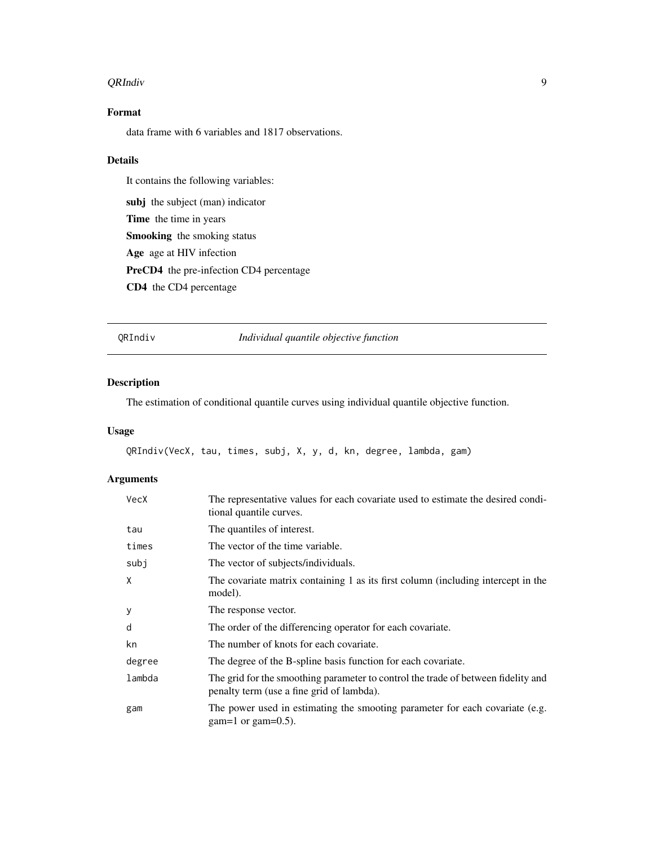#### <span id="page-8-0"></span>QRIndiv 9

## Format

data frame with 6 variables and 1817 observations.

## Details

It contains the following variables:

subj the subject (man) indicator Time the time in years Smooking the smoking status Age age at HIV infection PreCD4 the pre-infection CD4 percentage CD4 the CD4 percentage

QRIndiv *Individual quantile objective function*

## Description

The estimation of conditional quantile curves using individual quantile objective function.

## Usage

```
QRIndiv(VecX, tau, times, subj, X, y, d, kn, degree, lambda, gam)
```
## Arguments

| VecX   | The representative values for each covariate used to estimate the desired condi-<br>tional quantile curves.                    |
|--------|--------------------------------------------------------------------------------------------------------------------------------|
| tau    | The quantiles of interest.                                                                                                     |
| times  | The vector of the time variable.                                                                                               |
| subj   | The vector of subjects/individuals.                                                                                            |
| X      | The covariate matrix containing 1 as its first column (including intercept in the<br>model).                                   |
| У      | The response vector.                                                                                                           |
| d      | The order of the differencing operator for each covariate.                                                                     |
| kn     | The number of knots for each covariate.                                                                                        |
| degree | The degree of the B-spline basis function for each covariate.                                                                  |
| lambda | The grid for the smoothing parameter to control the trade of between fidelity and<br>penalty term (use a fine grid of lambda). |
| gam    | The power used in estimating the smooting parameter for each covariate (e.g.<br>$gam=1$ or gam=0.5).                           |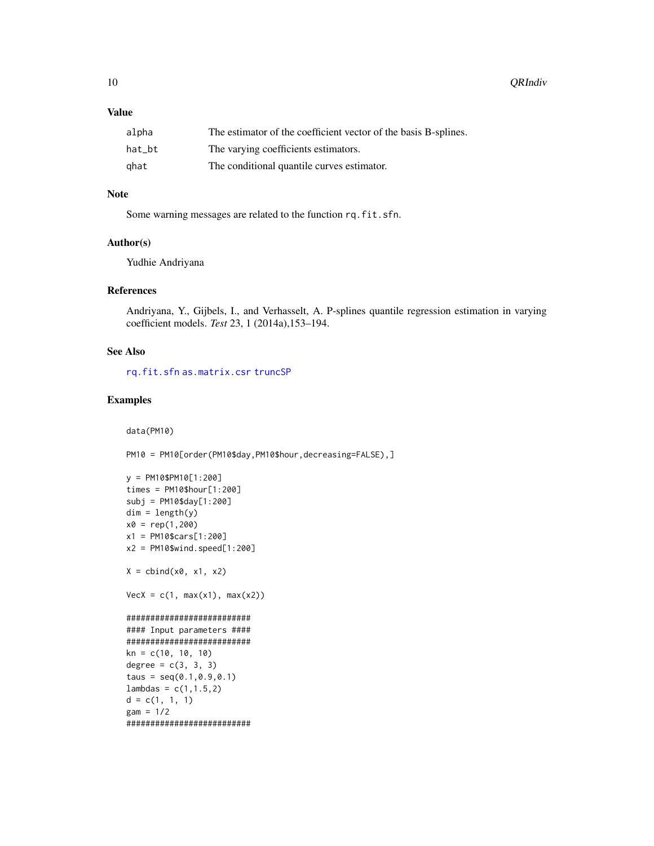<span id="page-9-0"></span>10 QRIndiv

## Value

| alpha  | The estimator of the coefficient vector of the basis B-splines. |
|--------|-----------------------------------------------------------------|
| hat bt | The varying coefficients estimators.                            |
| ghat   | The conditional quantile curves estimator.                      |

### Note

Some warning messages are related to the function rq.fit.sfn.

#### Author(s)

Yudhie Andriyana

#### References

Andriyana, Y., Gijbels, I., and Verhasselt, A. P-splines quantile regression estimation in varying coefficient models. *Test* 23, 1 (2014a),153–194.

## See Also

[rq.fit.sfn](#page-0-0) [as.matrix.csr](#page-0-0) [truncSP](#page-0-0)

## Examples

```
data(PM10)
```
PM10 = PM10[order(PM10\$day, PM10\$hour, decreasing=FALSE), ]

```
y = PM10$PM10[1:200]
times = PM10$hour[1:200]
subj = PM10$day[1:200]
dim = length(y)x0 = rep(1,200)x1 = PM10$cars[1:200]
x2 = PM10$wind.speed[1:200]
X = \text{cbind}(x0, x1, x2)VecX = c(1, max(x1), max(x2))##########################
#### Input parameters ####
##########################
kn = c(10, 10, 10)degree = c(3, 3, 3)taus = seq(0.1, 0.9, 0.1)lambdas = c(1, 1.5, 2)d = c(1, 1, 1)gam = 1/2##########################
```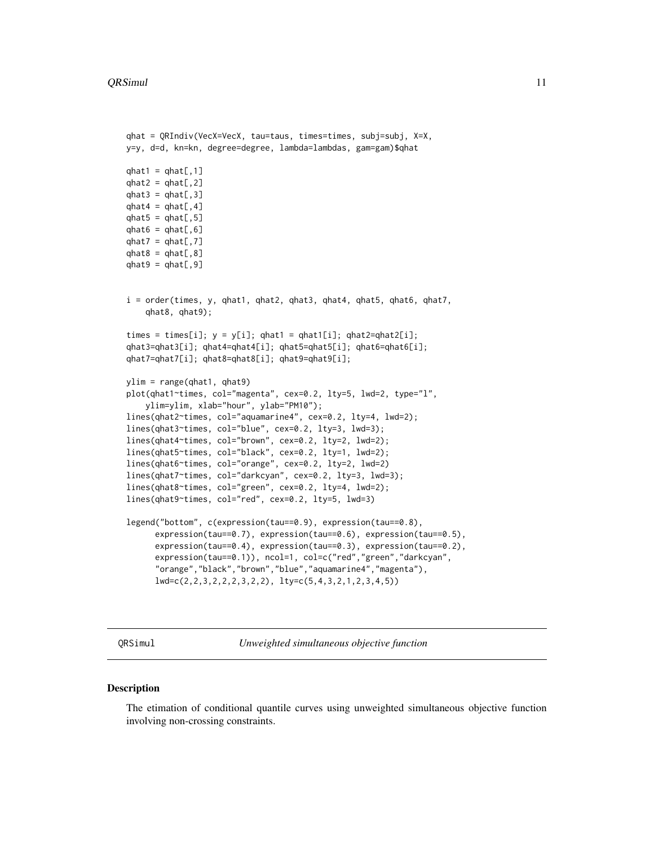#### <span id="page-10-0"></span>QRSimul 11

```
qhat = QRIndiv(VecX=VecX, tau=taus, times=times, subj=subj, X=X,
y=y, d=d, kn=kn, degree=degree, lambda=lambdas, gam=gam)$qhat
qhat1 = qhat[,1]qhat2 = qhat[, 2]qhat3 = qhat[, 3]qhat4 = qhat[, 4]qhat5 = qhat[, 5]qhat6 = qhat[, 6]qhat7 = qhat[, 7]qhat8 = qhat[, 8]qhat9 = qhat[, 9]i = order(times, y, qhat1, qhat2, qhat3, qhat4, qhat5, qhat6, qhat7,
    qhat8, qhat9);
times = times[i]; y = y[i]; qhat1 = qhat1[i]; qhat2=qhat2[i];
qhat3=qhat3[i]; qhat4=qhat4[i]; qhat5=qhat5[i]; qhat6=qhat6[i];
qhat7=qhat7[i]; qhat8=qhat8[i]; qhat9=qhat9[i];
ylim = range(qhat1, qhat9)
plot(qhat1~times, col="magenta", cex=0.2, lty=5, lwd=2, type="l",
    ylim=ylim, xlab="hour", ylab="PM10");
lines(qhat2~times, col="aquamarine4", cex=0.2, lty=4, lwd=2);
lines(qhat3~times, col="blue", cex=0.2, lty=3, lwd=3);
lines(qhat4~times, col="brown", cex=0.2, lty=2, lwd=2);
lines(qhat5~times, col="black", cex=0.2, lty=1, lwd=2);
lines(qhat6~times, col="orange", cex=0.2, lty=2, lwd=2)
lines(qhat7~times, col="darkcyan", cex=0.2, lty=3, lwd=3);
lines(qhat8~times, col="green", cex=0.2, lty=4, lwd=2);
lines(qhat9~times, col="red", cex=0.2, lty=5, lwd=3)
legend("bottom", c(expression(tau==0.9), expression(tau==0.8),
      expression(tau==0.7), expression(tau==0.6), expression(tau==0.5),
      expression(tau==0.4), expression(tau==0.3), expression(tau==0.2),
      expression(tau==0.1)), ncol=1, col=c("red","green","darkcyan",
      "orange","black","brown","blue","aquamarine4","magenta"),
      lwd=c(2,2,3,2,2,2,3,2,2), lty=c(5,4,3,2,1,2,3,4,5))
```
QRSimul *Unweighted simultaneous objective function*

### Description

The etimation of conditional quantile curves using unweighted simultaneous objective function involving non-crossing constraints.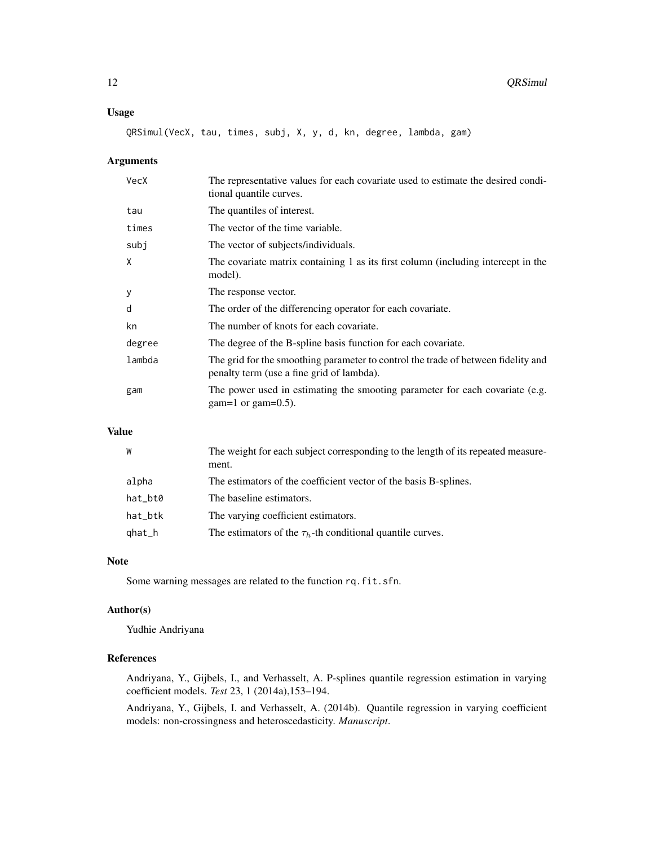## Usage

QRSimul(VecX, tau, times, subj, X, y, d, kn, degree, lambda, gam)

#### Arguments

| VecX   | The representative values for each covariate used to estimate the desired condi-<br>tional quantile curves.                    |
|--------|--------------------------------------------------------------------------------------------------------------------------------|
| tau    | The quantiles of interest.                                                                                                     |
| times  | The vector of the time variable.                                                                                               |
| subj   | The vector of subjects/individuals.                                                                                            |
| X      | The covariate matrix containing 1 as its first column (including intercept in the<br>model).                                   |
| У      | The response vector.                                                                                                           |
| d      | The order of the differencing operator for each covariate.                                                                     |
| kn     | The number of knots for each covariate.                                                                                        |
| degree | The degree of the B-spline basis function for each covariate.                                                                  |
| lambda | The grid for the smoothing parameter to control the trade of between fidelity and<br>penalty term (use a fine grid of lambda). |
| gam    | The power used in estimating the smooting parameter for each covariate (e.g.<br>$gam=1$ or gam=0.5).                           |

## Value

| W       | The weight for each subject corresponding to the length of its repeated measure- |
|---------|----------------------------------------------------------------------------------|
|         | ment.                                                                            |
| alpha   | The estimators of the coefficient vector of the basis B-splines.                 |
| hat_bt0 | The baseline estimators.                                                         |
| hat_btk | The varying coefficient estimators.                                              |
| qhat_h  | The estimators of the $\tau_h$ -th conditional quantile curves.                  |

#### Note

Some warning messages are related to the function rq.fit.sfn.

#### Author(s)

Yudhie Andriyana

## References

Andriyana, Y., Gijbels, I., and Verhasselt, A. P-splines quantile regression estimation in varying coefficient models. *Test* 23, 1 (2014a),153–194.

Andriyana, Y., Gijbels, I. and Verhasselt, A. (2014b). Quantile regression in varying coefficient models: non-crossingness and heteroscedasticity. *Manuscript*.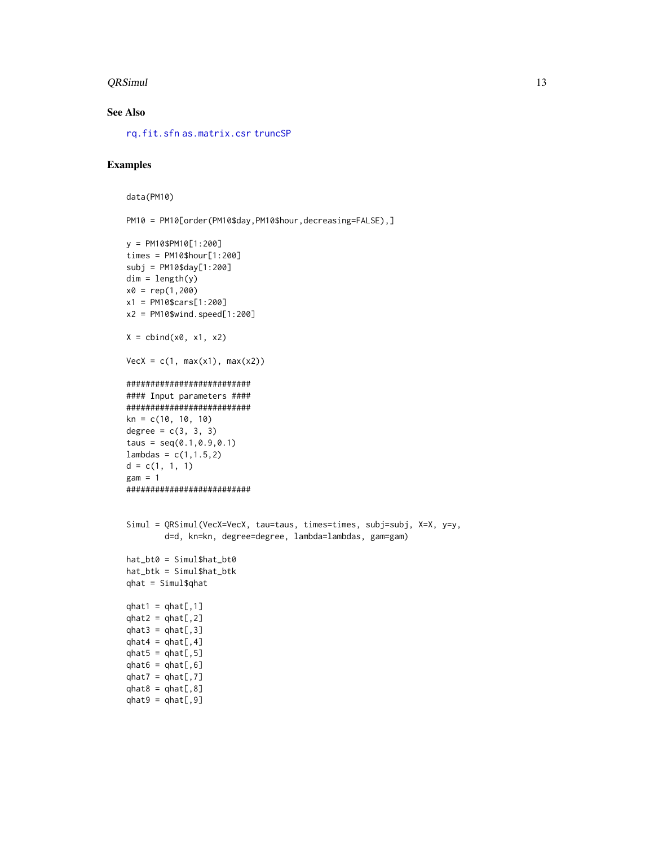#### <span id="page-12-0"></span>QRSimul 13

## See Also

[rq.fit.sfn](#page-0-0) [as.matrix.csr](#page-0-0) [truncSP](#page-0-0)

## Examples

```
data(PM10)
```
 $qhat9 = qhat[, 9]$ 

PM10 = PM10[order(PM10\$day,PM10\$hour,decreasing=FALSE),]

```
y = PM10$PM10[1:200]
times = PM10$hour[1:200]
subj = PM10$day[1:200]
dim = length(y)x0 = rep(1,200)x1 = PM10$cars[1:200]
x2 = PM10$wind.speed[1:200]
X = \text{cbind}(x0, x1, x2)VecX = c(1, max(x1), max(x2))##########################
#### Input parameters ####
##########################
kn = c(10, 10, 10)degree = c(3, 3, 3)taus = seq(0.1, 0.9, 0.1)lambdas = c(1, 1.5, 2)d = c(1, 1, 1)gam = 1##########################
Simul = QRSimul(VecX=VecX, tau=taus, times=times, subj=subj, X=X, y=y,
        d=d, kn=kn, degree=degree, lambda=lambdas, gam=gam)
hat_bt0 = Simul$hat_bt0
hat_btk = Simul$hat_btk
qhat = Simul$qhat
qhat1 = qhat[, 1]qhat2 = qhat[, 2]qhat3 = qhat[, 3]qhat4 = qhat[, 4]qhat5 = qhat[, 5]qhat6 = qhat[, 6]qhat7 = qhat[, 7]qhat8 = qhat[, 8]
```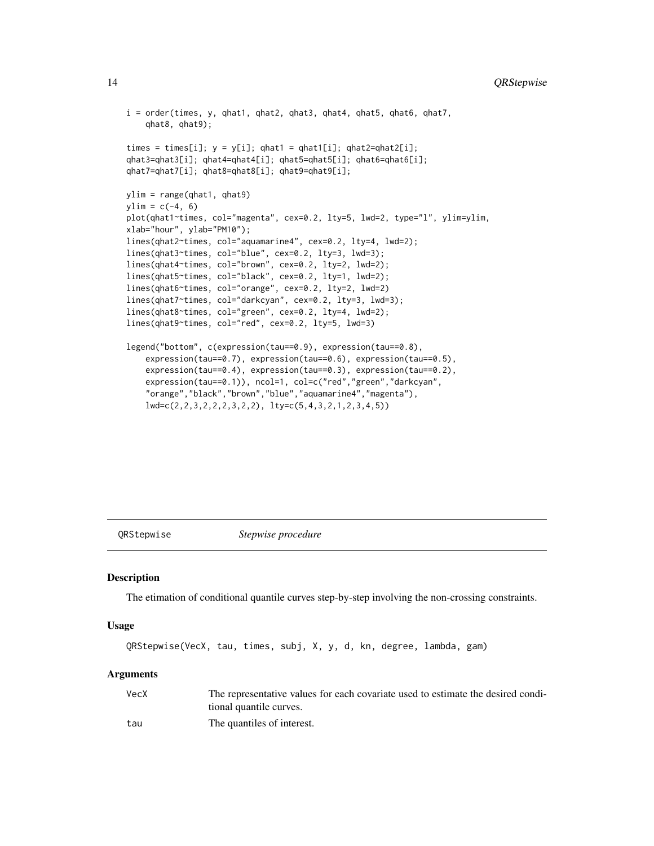```
i = order(times, y, qhat1, qhat2, qhat3, qhat4, qhat5, qhat6, qhat7,
    qhat8, qhat9);
times = times[i]; y = y[i]; qhat1 = qhat1[i]; qhat2=qhat2[i];
qhat3=qhat3[i]; qhat4=qhat4[i]; qhat5=qhat5[i]; qhat6=qhat6[i];
qhat7=qhat7[i]; qhat8=qhat8[i]; qhat9=qhat9[i];
ylim = range(qhat1, qhat9)
ylim = c(-4, 6)plot(qhat1~times, col="magenta", cex=0.2, lty=5, lwd=2, type="l", ylim=ylim,
xlab="hour", ylab="PM10");
lines(qhat2~times, col="aquamarine4", cex=0.2, lty=4, lwd=2);
lines(qhat3~times, col="blue", cex=0.2, lty=3, lwd=3);
lines(qhat4~times, col="brown", cex=0.2, lty=2, lwd=2);
lines(qhat5~times, col="black", cex=0.2, lty=1, lwd=2);
lines(qhat6~times, col="orange", cex=0.2, lty=2, lwd=2)
lines(qhat7~times, col="darkcyan", cex=0.2, lty=3, lwd=3);
lines(qhat8~times, col="green", cex=0.2, lty=4, lwd=2);
lines(qhat9~times, col="red", cex=0.2, lty=5, lwd=3)
legend("bottom", c(expression(tau==0.9), expression(tau==0.8),
    expression(tau==0.7), expression(tau==0.6), expression(tau==0.5),
    expression(tau==0.4), expression(tau==0.3), expression(tau==0.2),
    expression(tau==0.1)), ncol=1, col=c("red","green","darkcyan",
    "orange","black","brown","blue","aquamarine4","magenta"),
    lwd=c(2,2,3,2,2,2,3,2,2), lty=c(5,4,3,2,1,2,3,4,5))
```
QRStepwise *Stepwise procedure*

#### **Description**

The etimation of conditional quantile curves step-by-step involving the non-crossing constraints.

#### Usage

```
QRStepwise(VecX, tau, times, subj, X, y, d, kn, degree, lambda, gam)
```
#### Arguments

| VecX | The representative values for each covariate used to estimate the desired condi- |
|------|----------------------------------------------------------------------------------|
|      | tional quantile curves.                                                          |
| tau  | The quantiles of interest.                                                       |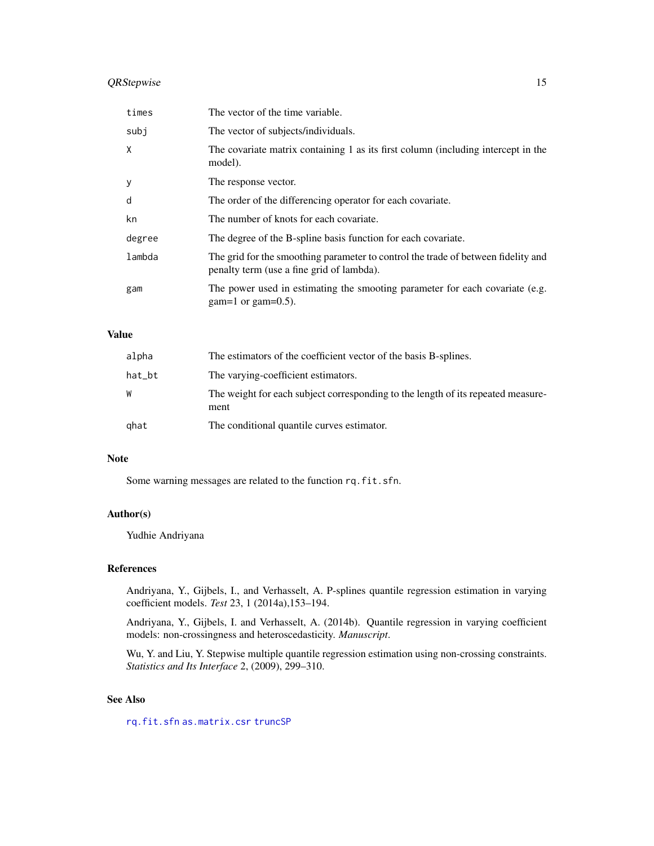## <span id="page-14-0"></span>QRStepwise 15

| times  | The vector of the time variable.                                                                                               |
|--------|--------------------------------------------------------------------------------------------------------------------------------|
| subj   | The vector of subjects/individuals.                                                                                            |
| X      | The covariate matrix containing 1 as its first column (including intercept in the<br>model).                                   |
| y      | The response vector.                                                                                                           |
| d      | The order of the differencing operator for each covariate.                                                                     |
| kn     | The number of knots for each covariate.                                                                                        |
| degree | The degree of the B-spline basis function for each covariate.                                                                  |
| lambda | The grid for the smoothing parameter to control the trade of between fidelity and<br>penalty term (use a fine grid of lambda). |
| gam    | The power used in estimating the smooting parameter for each covariate (e.g.<br>$gam=1$ or gam=0.5).                           |

## Value

| alpha  | The estimators of the coefficient vector of the basis B-splines.                         |
|--------|------------------------------------------------------------------------------------------|
| hat_bt | The varying-coefficient estimators.                                                      |
| W      | The weight for each subject corresponding to the length of its repeated measure-<br>ment |
| ghat   | The conditional quantile curves estimator.                                               |

## Note

Some warning messages are related to the function rq.fit.sfn.

## Author(s)

Yudhie Andriyana

## References

Andriyana, Y., Gijbels, I., and Verhasselt, A. P-splines quantile regression estimation in varying coefficient models. *Test* 23, 1 (2014a),153–194.

Andriyana, Y., Gijbels, I. and Verhasselt, A. (2014b). Quantile regression in varying coefficient models: non-crossingness and heteroscedasticity. *Manuscript*.

Wu, Y. and Liu, Y. Stepwise multiple quantile regression estimation using non-crossing constraints. *Statistics and Its Interface* 2, (2009), 299–310.

## See Also

[rq.fit.sfn](#page-0-0) [as.matrix.csr](#page-0-0) [truncSP](#page-0-0)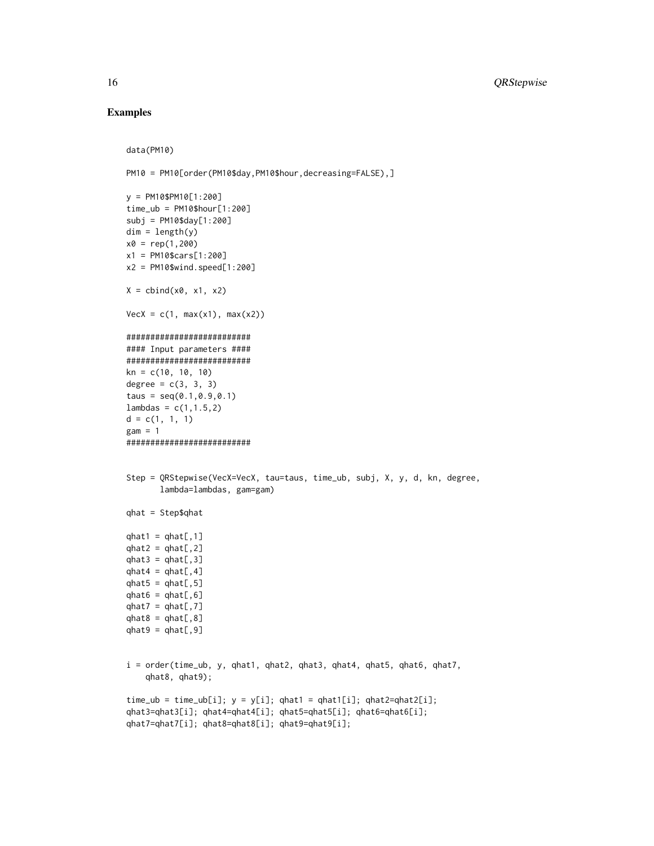### Examples

```
data(PM10)
PM10 = PM10[order(PM10$day, PM10$hour, decreasing=FALSE), ]
y = PM10$PM10[1:200]
time_ub = PM10$hour[1:200]
subj = PM10$day[1:200]
dim = length(y)x0 = rep(1,200)x1 = PM10$cars[1:200]
x2 = PM10$wind.speed[1:200]
X = \text{cbind}(x0, x1, x2)VecX = c(1, max(x1), max(x2))##########################
#### Input parameters ####
##########################
kn = c(10, 10, 10)degree = c(3, 3, 3)taus = seq(0.1, 0.9, 0.1)lambda = c(1, 1.5, 2)d = c(1, 1, 1)gam = 1##########################
Step = QRStepwise(VecX=VecX, tau=taus, time_ub, subj, X, y, d, kn, degree,
       lambda=lambdas, gam=gam)
qhat = Step$qhat
qhat1 = qhat[,1]qhat2 = qhat[, 2]qhat3 = qhat[, 3]qhat4 = qhat[, 4]qhat5 = qhat[, 5]qhat6 = qhat[, 6]qhat7 = qhat[, 7]qhat8 = qhat[, 8]qhat9 = qhat[, 9]i = order(time_ub, y, qhat1, qhat2, qhat3, qhat4, qhat5, qhat6, qhat7,
    qhat8, qhat9);
time\_ub = time\_ub[i]; y = y[i]; qhat1 = qhat1[i]; qhat2=qhat2[i];qhat3=qhat3[i]; qhat4=qhat4[i]; qhat5=qhat5[i]; qhat6=qhat6[i];
qhat7=qhat7[i]; qhat8=qhat8[i]; qhat9=qhat9[i];
```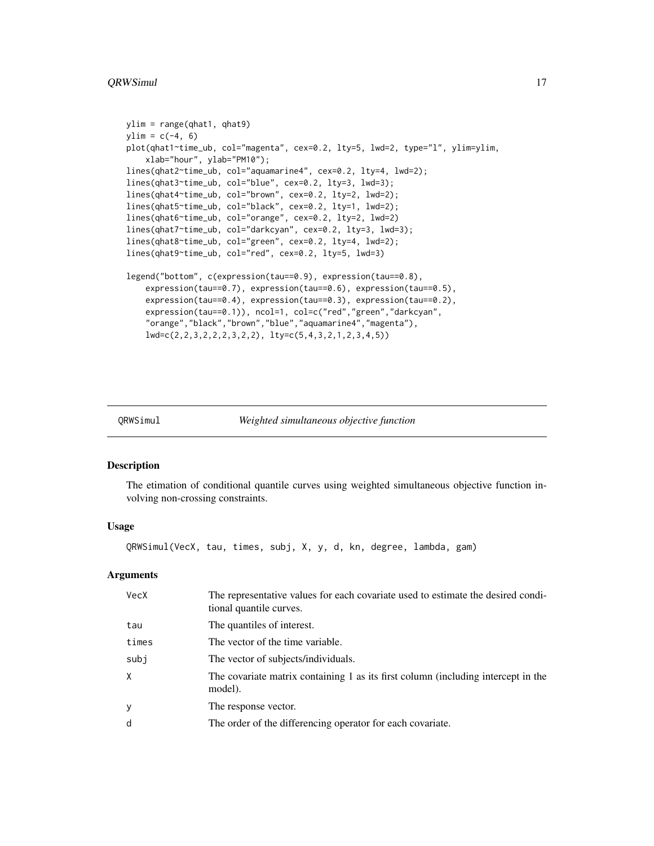```
ylim = range(qhat1, qhat9)
ylim = c(-4, 6)plot(qhat1~time_ub, col="magenta", cex=0.2, lty=5, lwd=2, type="l", ylim=ylim,
    xlab="hour", ylab="PM10");
lines(qhat2~time_ub, col="aquamarine4", cex=0.2, lty=4, lwd=2);
lines(qhat3~time_ub, col="blue", cex=0.2, lty=3, lwd=3);
lines(qhat4~time_ub, col="brown", cex=0.2, lty=2, lwd=2);
lines(qhat5~time_ub, col="black", cex=0.2, lty=1, lwd=2);
lines(qhat6~time_ub, col="orange", cex=0.2, lty=2, lwd=2)
lines(qhat7~time_ub, col="darkcyan", cex=0.2, lty=3, lwd=3);
lines(qhat8~time_ub, col="green", cex=0.2, lty=4, lwd=2);
lines(qhat9~time_ub, col="red", cex=0.2, lty=5, lwd=3)
legend("bottom", c(expression(tau==0.9), expression(tau==0.8),
    expression(tau==0.7), expression(tau==0.6), expression(tau==0.5),
    expression(tau==0.4), expression(tau==0.3), expression(tau==0.2),
    expression(tau==0.1)), ncol=1, col=c("red","green","darkcyan",
    "orange","black","brown","blue","aquamarine4","magenta"),
    lwd=c(2,2,3,2,2,2,3,2,2), lty=c(5,4,3,2,1,2,3,4,5))
```
QRWSimul *Weighted simultaneous objective function*

| Veighted simultaneous objective function |  |
|------------------------------------------|--|
|                                          |  |

#### **Description**

The etimation of conditional quantile curves using weighted simultaneous objective function involving non-crossing constraints.

#### Usage

QRWSimul(VecX, tau, times, subj, X, y, d, kn, degree, lambda, gam)

#### **Arguments**

| <b>VecX</b> | The representative values for each covariate used to estimate the desired condi-<br>tional quantile curves. |
|-------------|-------------------------------------------------------------------------------------------------------------|
| tau         | The quantiles of interest.                                                                                  |
| times       | The vector of the time variable.                                                                            |
| subj        | The vector of subjects/individuals.                                                                         |
| $\times$    | The covariate matrix containing 1 as its first column (including intercept in the<br>model).                |
| y           | The response vector.                                                                                        |
| d           | The order of the differencing operator for each covariate.                                                  |
|             |                                                                                                             |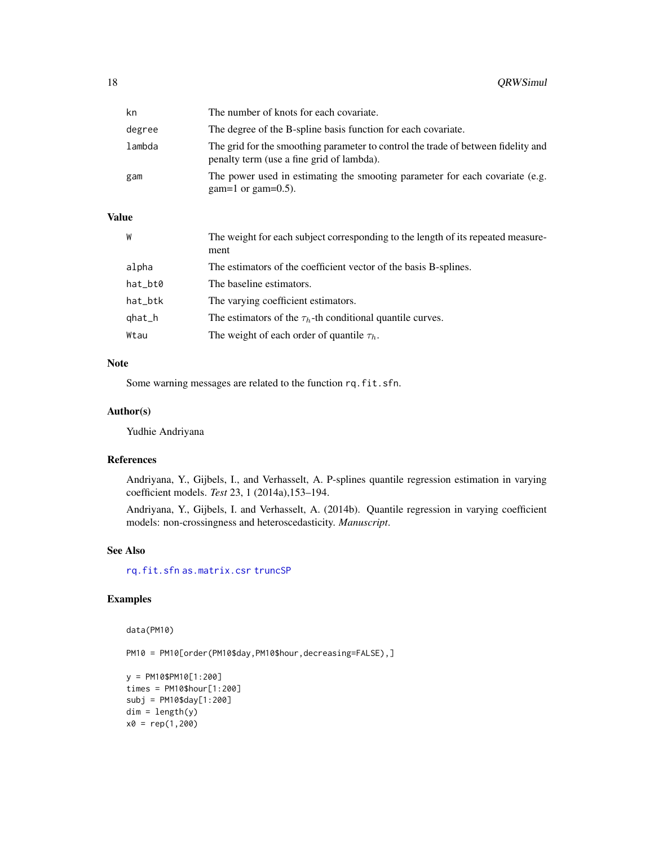<span id="page-17-0"></span>

| kn     | The number of knots for each covariate.                                                                                        |
|--------|--------------------------------------------------------------------------------------------------------------------------------|
| degree | The degree of the B-spline basis function for each covariate.                                                                  |
| lambda | The grid for the smoothing parameter to control the trade of between fidelity and<br>penalty term (use a fine grid of lambda). |
| gam    | The power used in estimating the smooting parameter for each covariate (e.g.<br>$\gamma$ gam=1 or gam=0.5).                    |

## Value

| W        | The weight for each subject corresponding to the length of its repeated measure-<br>ment |
|----------|------------------------------------------------------------------------------------------|
| alpha    | The estimators of the coefficient vector of the basis B-splines.                         |
| hat_bt0  | The baseline estimators.                                                                 |
| hat_btk  | The varying coefficient estimators.                                                      |
| $qhat_h$ | The estimators of the $\tau_h$ -th conditional quantile curves.                          |
| Wtau     | The weight of each order of quantile $\tau_h$ .                                          |

#### Note

Some warning messages are related to the function rq.fit.sfn.

## Author(s)

Yudhie Andriyana

#### References

Andriyana, Y., Gijbels, I., and Verhasselt, A. P-splines quantile regression estimation in varying coefficient models. *Test* 23, 1 (2014a),153–194.

Andriyana, Y., Gijbels, I. and Verhasselt, A. (2014b). Quantile regression in varying coefficient models: non-crossingness and heteroscedasticity. *Manuscript*.

## See Also

[rq.fit.sfn](#page-0-0) [as.matrix.csr](#page-0-0) [truncSP](#page-0-0)

## Examples

```
data(PM10)
```
PM10 = PM10[order(PM10\$day, PM10\$hour, decreasing=FALSE), ]

```
y = PM10$PM10[1:200]
times = PM10$hour[1:200]
subj = PM10$day[1:200]
dim = length(y)x0 = rep(1,200)
```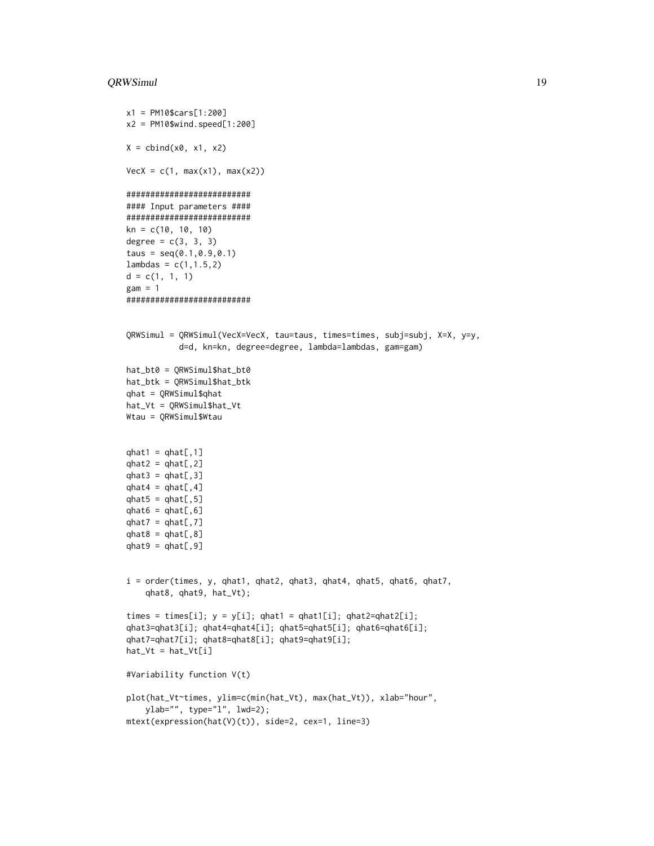#### QRWSimul 19

```
x1 = PM10$cars[1:200]
x2 = PM10$wind.speed[1:200]
X = \text{cbind}(x\emptyset, x1, x2)VecX = c(1, max(x1), max(x2))##########################
#### Input parameters ####
##########################
kn = c(10, 10, 10)
degree = c(3, 3, 3)taus = seq(0.1, 0.9, 0.1)lambdas = c(1, 1.5, 2)d = c(1, 1, 1)gam = 1##########################
QRWSimul = QRWSimul(VecX=VecX, tau=taus, times=times, subj=subj, X=X, y=y,
           d=d, kn=kn, degree=degree, lambda=lambdas, gam=gam)
hat_bt0 = QRWSimul$hat_bt0
hat_btk = QRWSimul$hat_btk
qhat = QRWSimul$qhat
hat_Vt = QRWSimul$hat_Vt
Wtau = QRWSimul$Wtau
qhat1 = qhat[,1]qhat2 = qhat[, 2]qhat3 = qhat[, 3]qhat4 = qhat[, 4]qhat5 = qhat[, 5]qhat6 = qhat[, 6]qhat7 = qhat[, 7]qhat8 = qhat[, 8]qhat9 = qhat[, 9]i = order(times, y, qhat1, qhat2, qhat3, qhat4, qhat5, qhat6, qhat7,
    qhat8, qhat9, hat_Vt);
times = times[i]; y = y[i]; qhat1 = qhat1[i]; qhat2=qhat2[i];
qhat3=qhat3[i]; qhat4=qhat4[i]; qhat5=qhat5[i]; qhat6=qhat6[i];
qhat7=qhat7[i]; qhat8=qhat8[i]; qhat9=qhat9[i];
hat_Vt = hat_Vt[i]#Variability function V(t)
plot(hat_Vt~times, ylim=c(min(hat_Vt), max(hat_Vt)), xlab="hour",
    ylab="", type="l", lwd=2);
```

```
mtext(expression(hat(V)(t)), side=2, cex=1, line=3)
```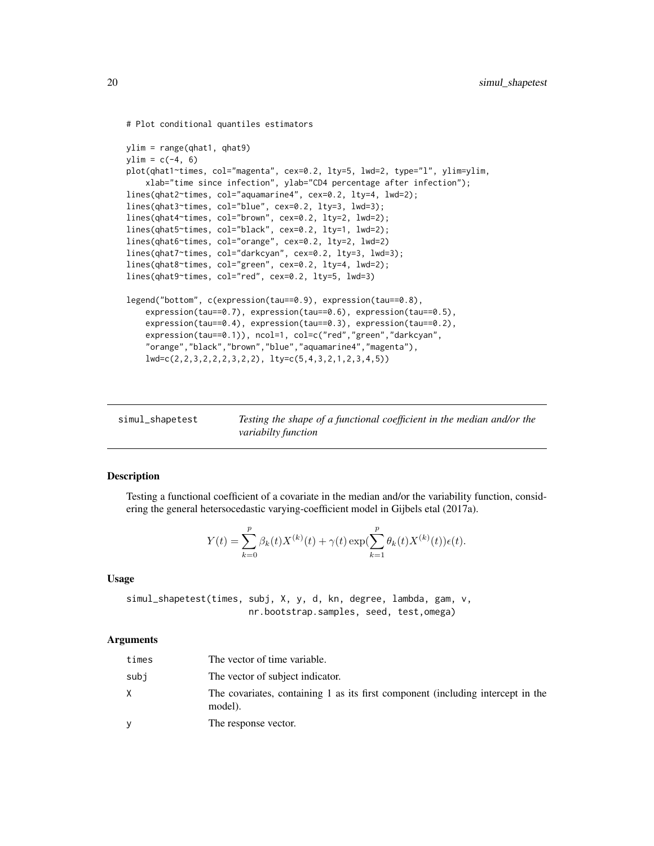```
# Plot conditional quantiles estimators
ylim = range(qhat1, qhat9)
ylim = c(-4, 6)plot(qhat1~times, col="magenta", cex=0.2, lty=5, lwd=2, type="l", ylim=ylim,
    xlab="time since infection", ylab="CD4 percentage after infection");
lines(qhat2~times, col="aquamarine4", cex=0.2, lty=4, lwd=2);
lines(qhat3~times, col="blue", cex=0.2, lty=3, lwd=3);
lines(qhat4~times, col="brown", cex=0.2, lty=2, lwd=2);
lines(qhat5~times, col="black", cex=0.2, lty=1, lwd=2);
lines(qhat6~times, col="orange", cex=0.2, lty=2, lwd=2)
lines(qhat7~times, col="darkcyan", cex=0.2, lty=3, lwd=3);
lines(qhat8~times, col="green", cex=0.2, lty=4, lwd=2);
lines(qhat9~times, col="red", cex=0.2, lty=5, lwd=3)
legend("bottom", c(expression(tau==0.9), expression(tau==0.8),
    expression(tau==0.7), expression(tau==0.6), expression(tau==0.5),
    expression(tau==0.4), expression(tau==0.3), expression(tau==0.2),
    expression(tau==0.1)), ncol=1, col=c("red","green","darkcyan",
    "orange","black","brown","blue","aquamarine4","magenta"),
    lwd=c(2,2,3,2,2,2,3,2,2), lty=c(5,4,3,2,1,2,3,4,5))
```

| simul_shapetest | Testing the shape of a functional coefficient in the median and/or the |
|-----------------|------------------------------------------------------------------------|
|                 | variabilty function                                                    |

### Description

Testing a functional coefficient of a covariate in the median and/or the variability function, considering the general hetersocedastic varying-coefficient model in Gijbels etal (2017a).

$$
Y(t) = \sum_{k=0}^{p} \beta_k(t) X^{(k)}(t) + \gamma(t) \exp(\sum_{k=1}^{p} \theta_k(t) X^{(k)}(t)) \epsilon(t).
$$

#### Usage

simul\_shapetest(times, subj, X, y, d, kn, degree, lambda, gam, v, nr.bootstrap.samples, seed, test,omega)

#### Arguments

| times | The vector of time variable.                                                               |
|-------|--------------------------------------------------------------------------------------------|
| subi  | The vector of subject indicator.                                                           |
| X     | The covariates, containing 1 as its first component (including intercept in the<br>model). |
| y     | The response vector.                                                                       |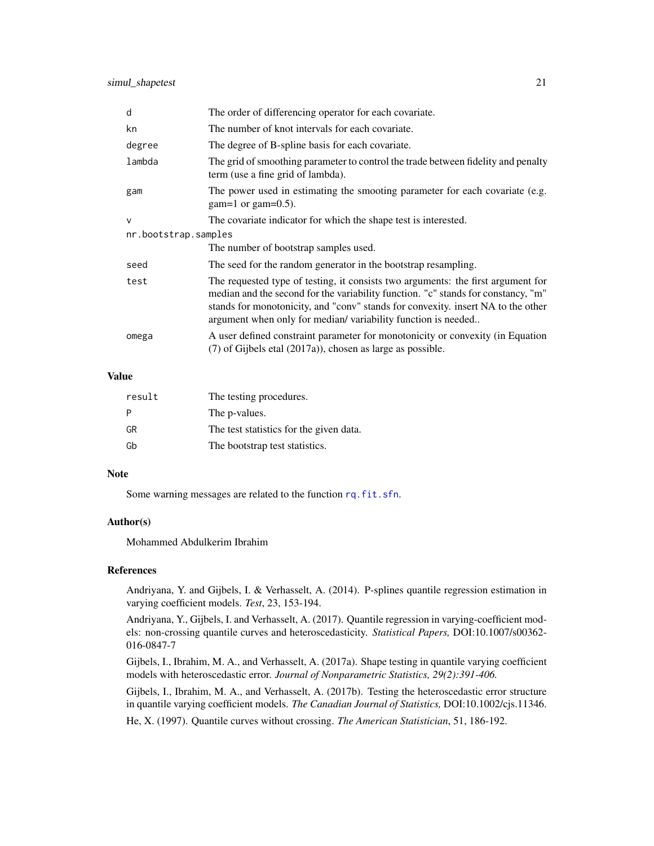<span id="page-20-0"></span>

| d                    | The order of differencing operator for each covariate.                                                                                                                                                                                                                                                                    |  |
|----------------------|---------------------------------------------------------------------------------------------------------------------------------------------------------------------------------------------------------------------------------------------------------------------------------------------------------------------------|--|
| kn                   | The number of knot intervals for each covariate.                                                                                                                                                                                                                                                                          |  |
| degree               | The degree of B-spline basis for each covariate.                                                                                                                                                                                                                                                                          |  |
| lambda               | The grid of smoothing parameter to control the trade between fidelity and penalty<br>term (use a fine grid of lambda).                                                                                                                                                                                                    |  |
| gam                  | The power used in estimating the smooting parameter for each covariate (e.g.<br>$gam=1$ or gam=0.5).                                                                                                                                                                                                                      |  |
| $\mathsf{V}$         | The covariate indicator for which the shape test is interested.                                                                                                                                                                                                                                                           |  |
| nr.bootstrap.samples |                                                                                                                                                                                                                                                                                                                           |  |
|                      | The number of bootstrap samples used.                                                                                                                                                                                                                                                                                     |  |
| seed                 | The seed for the random generator in the bootstrap resampling.                                                                                                                                                                                                                                                            |  |
| test                 | The requested type of testing, it consists two arguments: the first argument for<br>median and the second for the variability function. "c" stands for constancy, "m"<br>stands for monotonicity, and "conv" stands for convexity. insert NA to the other<br>argument when only for median/variability function is needed |  |
| omega                | A user defined constraint parameter for monotonicity or convexity (in Equation<br>$(7)$ of Gijbels etal $(2017a)$ , chosen as large as possible.                                                                                                                                                                          |  |

## Value

| result | The testing procedures.                 |
|--------|-----------------------------------------|
|        | The p-values.                           |
| GR     | The test statistics for the given data. |
| Gb     | The bootstrap test statistics.          |

#### Note

Some warning messages are related to the function [rq.fit.sfn](#page-0-0).

## Author(s)

Mohammed Abdulkerim Ibrahim

## References

Andriyana, Y. and Gijbels, I. & Verhasselt, A. (2014). P-splines quantile regression estimation in varying coefficient models. *Test*, 23, 153-194.

Andriyana, Y., Gijbels, I. and Verhasselt, A. (2017). Quantile regression in varying-coefficient models: non-crossing quantile curves and heteroscedasticity. *Statistical Papers,* DOI:10.1007/s00362- 016-0847-7

Gijbels, I., Ibrahim, M. A., and Verhasselt, A. (2017a). Shape testing in quantile varying coefficient models with heteroscedastic error. *Journal of Nonparametric Statistics, 29(2):391-406.*

Gijbels, I., Ibrahim, M. A., and Verhasselt, A. (2017b). Testing the heteroscedastic error structure in quantile varying coefficient models. *The Canadian Journal of Statistics,* DOI:10.1002/cjs.11346.

He, X. (1997). Quantile curves without crossing. *The American Statistician*, 51, 186-192.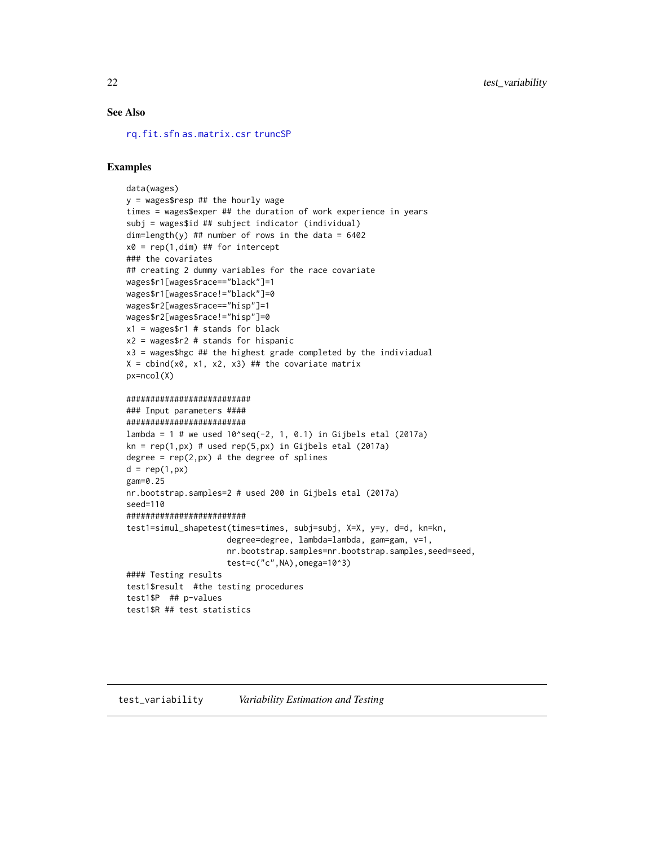### <span id="page-21-0"></span>See Also

[rq.fit.sfn](#page-0-0) [as.matrix.csr](#page-0-0) [truncSP](#page-0-0)

#### Examples

```
data(wages)
y = wages$resp ## the hourly wage
times = wages$exper ## the duration of work experience in years
subj = wages$id ## subject indicator (individual)
dim=length(y) ## number of rows in the data = 6402
x0 = rep(1,dim) ## for intercept
### the covariates
## creating 2 dummy variables for the race covariate
wages$r1[wages$race=="black"]=1
wages$r1[wages$race!="black"]=0
wages$r2[wages$race=="hisp"]=1
wages$r2[wages$race!="hisp"]=0
x1 = wages$r1 # stands for black
x2 = wages$r2 # stands for hispanic
x3 = wages$hgc ## the highest grade completed by the indiviadual
X = \text{cbind}(x0, x1, x2, x3) ## the covariate matrix
px=ncol(X)
##########################
### Input parameters ####
#########################
lambda = 1 # we used 10^seq(-2, 1, 0.1) in Gijbels etal (2017a)
kn = rep(1, px) # used rep(5, px) in Gijbels etal (2017a)
degree = rep(2, px) # the degree of splines
d = rep(1, px)gam=0.25
nr.bootstrap.samples=2 # used 200 in Gijbels etal (2017a)
seed=110
#########################
test1=simul_shapetest(times=times, subj=subj, X=X, y=y, d=d, kn=kn,
                     degree=degree, lambda=lambda, gam=gam, v=1,
                     nr.bootstrap.samples=nr.bootstrap.samples,seed=seed,
                     test=c("c",NA),omega=10^3)
#### Testing results
test1$result #the testing procedures
test1$P ## p-values
test1$R ## test statistics
```
#### test\_variability *Variability Estimation and Testing*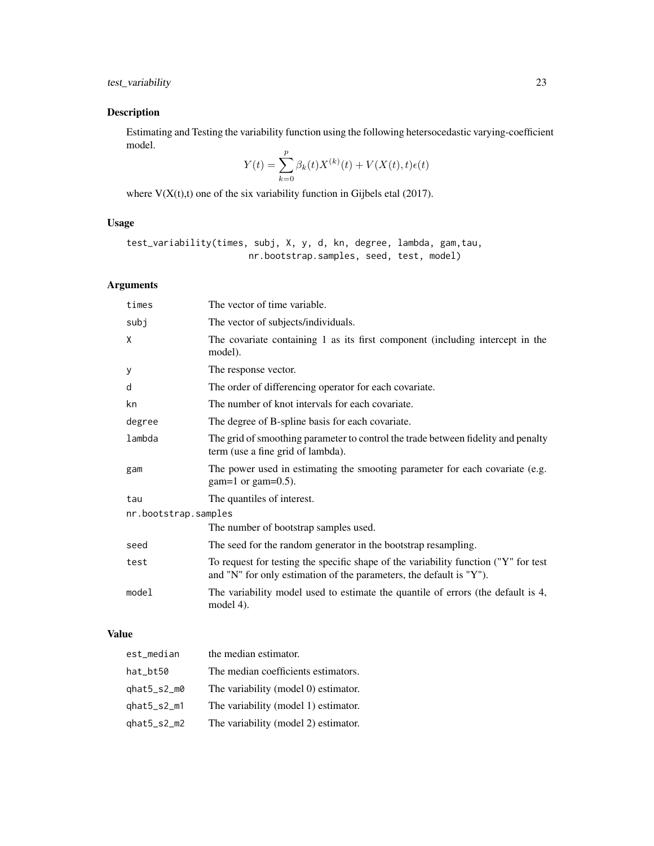## Description

Estimating and Testing the variability function using the following hetersocedastic varying-coefficient model.

$$
Y(t) = \sum_{k=0}^{p} \beta_k(t) X^{(k)}(t) + V(X(t), t)\epsilon(t)
$$

where  $V(X(t),t)$  one of the six variability function in Gijbels etal (2017).

## Usage

```
test_variability(times, subj, X, y, d, kn, degree, lambda, gam,tau,
                       nr.bootstrap.samples, seed, test, model)
```
## Arguments

| times                | The vector of time variable.                                                                                                                               |  |
|----------------------|------------------------------------------------------------------------------------------------------------------------------------------------------------|--|
| subj                 | The vector of subjects/individuals.                                                                                                                        |  |
| X                    | The covariate containing 1 as its first component (including intercept in the<br>model).                                                                   |  |
| У                    | The response vector.                                                                                                                                       |  |
| d                    | The order of differencing operator for each covariate.                                                                                                     |  |
| kn                   | The number of knot intervals for each covariate.                                                                                                           |  |
| degree               | The degree of B-spline basis for each covariate.                                                                                                           |  |
| lambda               | The grid of smoothing parameter to control the trade between fidelity and penalty<br>term (use a fine grid of lambda).                                     |  |
| gam                  | The power used in estimating the smooting parameter for each covariate (e.g.<br>$gam=1$ or $gam=0.5$ ).                                                    |  |
| tau                  | The quantiles of interest.                                                                                                                                 |  |
| nr.bootstrap.samples |                                                                                                                                                            |  |
|                      | The number of bootstrap samples used.                                                                                                                      |  |
| seed                 | The seed for the random generator in the bootstrap resampling.                                                                                             |  |
| test                 | To request for testing the specific shape of the variability function ("Y" for test<br>and "N" for only estimation of the parameters, the default is "Y"). |  |
| model                | The variability model used to estimate the quantile of errors (the default is 4,<br>model $4$ ).                                                           |  |

## Value

| est_median             | the median estimator.                |
|------------------------|--------------------------------------|
| hat_bt50               | The median coefficients estimators.  |
| $qhat5$ _s2_m $\theta$ | The variability (model 0) estimator. |
| $qhat5$ _s2_m1         | The variability (model 1) estimator. |
| qhat5_s2_m2            | The variability (model 2) estimator. |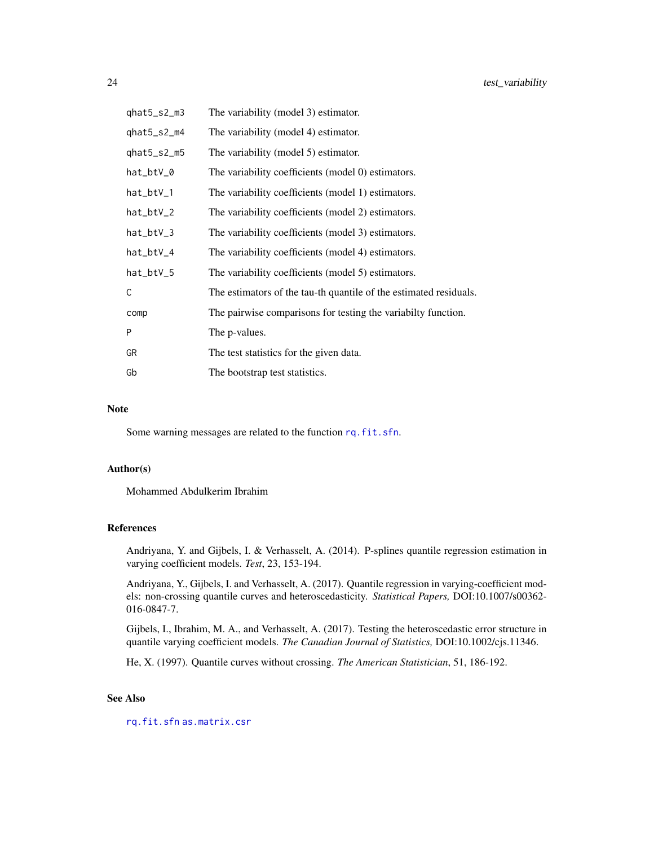<span id="page-23-0"></span>

| qhat5_s2_m3 | The variability (model 3) estimator.                              |
|-------------|-------------------------------------------------------------------|
| qhat5_s2_m4 | The variability (model 4) estimator.                              |
| qhat5_s2_m5 | The variability (model 5) estimator.                              |
| hat_btV_0   | The variability coefficients (model 0) estimators.                |
| hat_btV_1   | The variability coefficients (model 1) estimators.                |
| hat_btV_2   | The variability coefficients (model 2) estimators.                |
| hat_btV_3   | The variability coefficients (model 3) estimators.                |
| hat_btV_4   | The variability coefficients (model 4) estimators.                |
| hat_btV_5   | The variability coefficients (model 5) estimators.                |
| C           | The estimators of the tau-th quantile of the estimated residuals. |
| comp        | The pairwise comparisons for testing the variabilty function.     |
| P           | The p-values.                                                     |
| GR          | The test statistics for the given data.                           |
| Gb          | The bootstrap test statistics.                                    |

#### Note

Some warning messages are related to the function [rq.fit.sfn](#page-0-0).

#### Author(s)

Mohammed Abdulkerim Ibrahim

#### References

Andriyana, Y. and Gijbels, I. & Verhasselt, A. (2014). P-splines quantile regression estimation in varying coefficient models. *Test*, 23, 153-194.

Andriyana, Y., Gijbels, I. and Verhasselt, A. (2017). Quantile regression in varying-coefficient models: non-crossing quantile curves and heteroscedasticity. *Statistical Papers,* DOI:10.1007/s00362- 016-0847-7.

Gijbels, I., Ibrahim, M. A., and Verhasselt, A. (2017). Testing the heteroscedastic error structure in quantile varying coefficient models. *The Canadian Journal of Statistics,* DOI:10.1002/cjs.11346.

He, X. (1997). Quantile curves without crossing. *The American Statistician*, 51, 186-192.

## See Also

[rq.fit.sfn](#page-0-0) [as.matrix.csr](#page-0-0)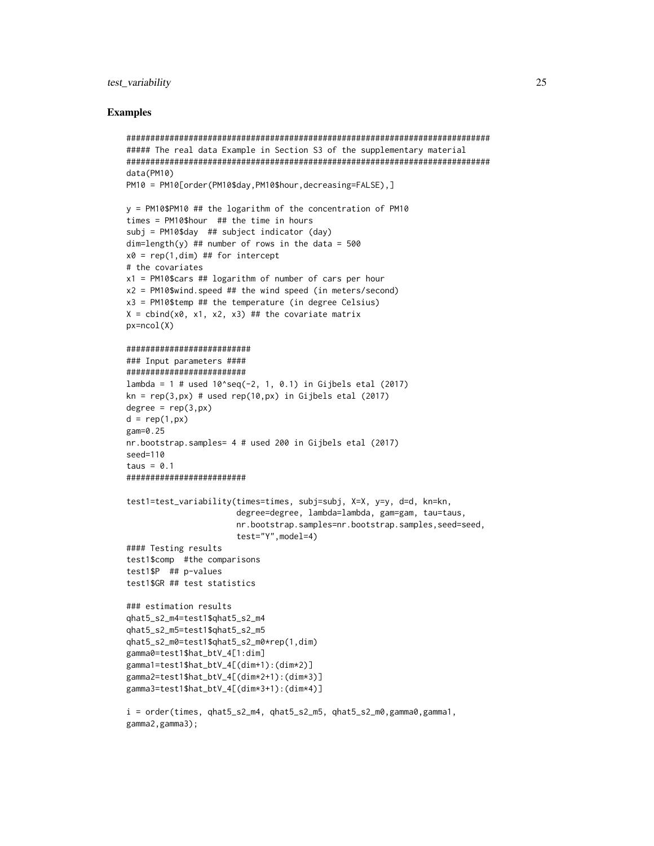#### test\_variability 25

#### Examples

```
############################################################################
##### The real data Example in Section S3 of the supplementary material
############################################################################
data(PM10)
PM10 = PM10[order(PM10$day,PM10$hour,decreasing=FALSE),]
y = PM10$PM10 ## the logarithm of the concentration of PM10
times = PM10$hour ## the time in hours
subj = PM10$day ## subject indicator (day)
dim=length(y) ## number of rows in the data = 500
x0 = rep(1, dim) ## for intercept
# the covariates
x1 = PM10$cars ## logarithm of number of cars per hour
x2 = PM10$wind.speed ## the wind speed (in meters/second)
x3 = PM10$temp ## the temperature (in degree Celsius)
X = \text{cbind}(x\emptyset, x1, x2, x3) ## the covariate matrix
px=ncol(X)
##########################
### Input parameters ####
#########################
lambda = 1 # used 10^seq(-2, 1, 0.1) in Gijbels etal (2017)
kn = rep(3, px) # used rep(10, px) in Gijbels etal (2017)
degree = rep(3, px)d = rep(1, px)gam=0.25
nr.bootstrap.samples= 4 # used 200 in Gijbels etal (2017)
seed=110
taus = 0.1#########################
test1=test_variability(times=times, subj=subj, X=X, y=y, d=d, kn=kn,
                       degree=degree, lambda=lambda, gam=gam, tau=taus,
                       nr.bootstrap.samples=nr.bootstrap.samples,seed=seed,
                       test="Y",model=4)
#### Testing results
test1$comp #the comparisons
test1$P ## p-values
test1$GR ## test statistics
### estimation results
qhat5_s2_m4=test1$qhat5_s2_m4
qhat5_s2_m5=test1$qhat5_s2_m5
qhat5_s2_m0=test1$qhat5_s2_m0*rep(1,dim)
gamma0=test1$hat_btV_4[1:dim]
gamma1=test1$hat_btV_4[(dim+1):(dim*2)]
gamma2=test1$hat_btV_4[(dim*2+1):(dim*3)]
gamma3=test1$hat_btV_4[(dim*3+1):(dim*4)]
i = order(times, qhat5_s2_m4, qhat5_s2_m5, qhat5_s2_m0,gamma0,gamma1,
gamma2,gamma3);
```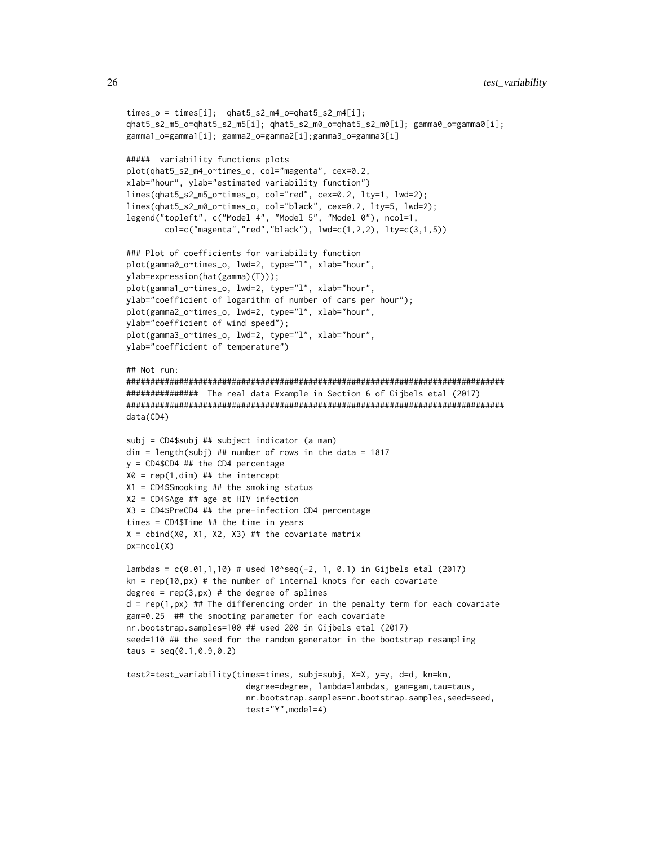```
times_0 = time[i]; qhat5_s2_m4_0=qhat5_s2_m4[i];qhat5_s2_m5_o=qhat5_s2_m5[i]; qhat5_s2_m0_o=qhat5_s2_m0[i]; gamma0_o=gamma0[i];
gamma1_o=gamma1[i]; gamma2_o=gamma2[i];gamma3_o=gamma3[i]
##### variability functions plots
plot(qhat5_s2_m4_o~times_o, col="magenta", cex=0.2,
xlab="hour", ylab="estimated variability function")
lines(qhat5_s2_m5_o~times_o, col="red", cex=0.2, lty=1, lwd=2);
lines(qhat5_s2_m0_o~times_o, col="black", cex=0.2, lty=5, lwd=2);
legend("topleft", c("Model 4", "Model 5", "Model 0"), ncol=1,
        col=c("magenta", "red", "black"), \n<math>lwd=c(1,2,2), \nlt; lty=c(3,1,5))</math>### Plot of coefficients for variability function
plot(gamma0_o~times_o, lwd=2, type="l", xlab="hour",
ylab=expression(hat(gamma)(T)));
plot(gamma1_o~times_o, lwd=2, type="l", xlab="hour",
ylab="coefficient of logarithm of number of cars per hour");
plot(gamma2_o~times_o, lwd=2, type="l", xlab="hour",
ylab="coefficient of wind speed");
plot(gamma3_o~times_o, lwd=2, type="l", xlab="hour",
ylab="coefficient of temperature")
## Not run:
###############################################################################
############### The real data Example in Section 6 of Gijbels etal (2017)
###############################################################################
data(CD4)
subj = CD4$subj ## subject indicator (a man)
dim = length(subj) ## number of rows in the data = 1817
y = CD4$CD4 ## the CD4 percentage
X0 = rep(1,dim) ## the intercept
X1 = CD4$Smooking ## the smoking status
X2 = CD4$Age ## age at HIV infection
X3 = CD4$PreCD4 ## the pre-infection CD4 percentage
times = CD4$Time ## the time in years
X = \text{cbind}(X\emptyset, X1, X2, X3) ## the covariate matrix
px=ncol(X)
lambdas = c(0.01, 1, 10) # used 10^seq(-2, 1, 0.1) in Gijbels etal (2017)
kn = rep(10, px) # the number of internal knots for each covariate
degree = rep(3, px) # the degree of splines
d = rep(1, px) ## The differencing order in the penalty term for each covariate
gam=0.25 ## the smooting parameter for each covariate
nr.bootstrap.samples=100 ## used 200 in Gijbels etal (2017)
seed=110 ## the seed for the random generator in the bootstrap resampling
taus = seq(0.1, 0.9, 0.2)test2=test_variability(times=times, subj=subj, X=X, y=y, d=d, kn=kn,
                         degree=degree, lambda=lambdas, gam=gam,tau=taus,
                         nr.bootstrap.samples=nr.bootstrap.samples,seed=seed,
```

```
test="Y",model=4)
```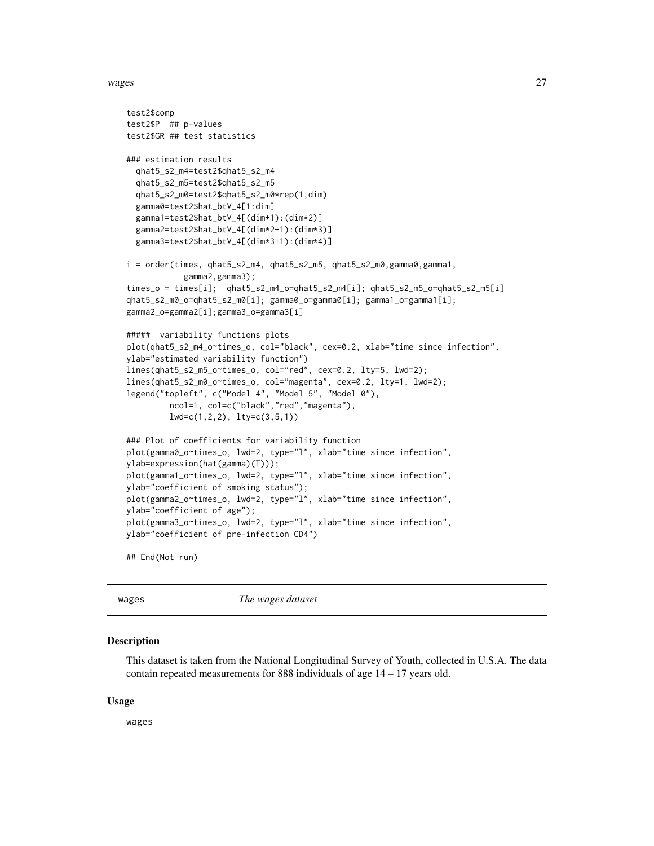<span id="page-26-0"></span>wages 27 and 2012 and 2013 and 2014 and 2014 and 2014 and 2014 and 2014 and 2014 and 2014 and 2014 and 2014 and 2014 and 2014 and 2014 and 2014 and 2014 and 2014 and 2014 and 2014 and 2014 and 2014 and 2014 and 2014 and 20

```
test2$comp
test2$P ## p-values
test2$GR ## test statistics
### estimation results
  qhat5_s2_m4=test2$qhat5_s2_m4
  qhat5_s2_m5=test2$qhat5_s2_m5
  qhat5_s2_m0=test2$qhat5_s2_m0*rep(1,dim)
  gamma0=test2$hat_btV_4[1:dim]
  gamma1=test2$hat_btV_4[(dim+1):(dim*2)]
  gamma2=test2$hat_btV_4[(dim*2+1):(dim*3)]
  gamma3=test2$hat_btV_4[(dim*3+1):(dim*4)]
i = order(times, qhat5_s2_m4, qhat5_s2_m5, qhat5_s2_m0,gamma0,gamma1,
            gamma2,gamma3);
times_o = times[i]; qhat5_s2_m4_o=qhat5_s2_m4[i]; qhat5_s2_m5_o=qhat5_s2_m5[i]
qhat5_s2_m0_o=qhat5_s2_m0[i]; gamma0_o=gamma0[i]; gamma1_o=gamma1[i];
gamma2_o=gamma2[i];gamma3_o=gamma3[i]
##### variability functions plots
plot(qhat5_s2_m4_o~times_o, col="black", cex=0.2, xlab="time since infection",
ylab="estimated variability function")
lines(qhat5_s2_m5_o~times_o, col="red", cex=0.2, lty=5, lwd=2);
lines(qhat5_s2_m0_o~times_o, col="magenta", cex=0.2, lty=1, lwd=2);
legend("topleft", c("Model 4", "Model 5", "Model 0"),
         ncol=1, col=c("black","red","magenta"),
         lwd=c(1,2,2), lty=c(3,5,1))
### Plot of coefficients for variability function
plot(gamma0_o~times_o, lwd=2, type="l", xlab="time since infection",
ylab=expression(hat(gamma)(T)));
plot(gamma1_o~times_o, lwd=2, type="l", xlab="time since infection",
ylab="coefficient of smoking status");
plot(gamma2_o~times_o, lwd=2, type="l", xlab="time since infection",
ylab="coefficient of age");
plot(gamma3_o~times_o, lwd=2, type="l", xlab="time since infection",
ylab="coefficient of pre-infection CD4")
## End(Not run)
```
wages *The wages dataset*

#### Description

This dataset is taken from the National Longitudinal Survey of Youth, collected in U.S.A. The data contain repeated measurements for 888 individuals of age 14 – 17 years old.

#### Usage

wages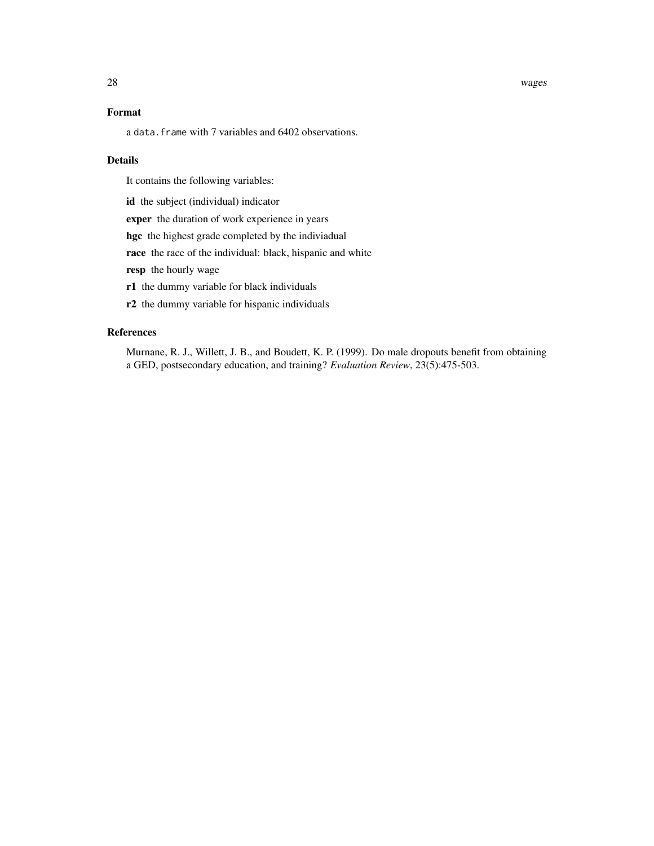28 wages and the contract of the contract of the contract of the contract of the contract of the contract of the contract of the contract of the contract of the contract of the contract of the contract of the contract of t

## Format

a data.frame with 7 variables and 6402 observations.

#### Details

It contains the following variables:

id the subject (individual) indicator

exper the duration of work experience in years

hgc the highest grade completed by the indiviadual

race the race of the individual: black, hispanic and white

resp the hourly wage

r1 the dummy variable for black individuals

r2 the dummy variable for hispanic individuals

#### References

Murnane, R. J., Willett, J. B., and Boudett, K. P. (1999). Do male dropouts benefit from obtaining a GED, postsecondary education, and training? *Evaluation Review*, 23(5):475-503.